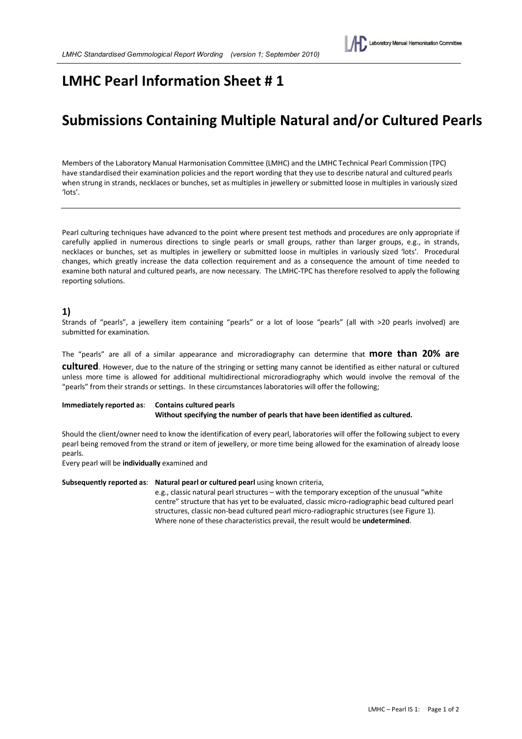## **LMHC Pearl Information Sheet # 1**

# **Submissions Containing Multiple Natural and/or Cultured Pearls**

Members of the Laboratory Manual Harmonisation Committee (LMHC) and the LMHC Technical Pearl Commission (TPC) have standardised their examination policies and the report wording that they use to describe natural and cultured pearls when strung in strands, necklaces or bunches, set as multiples in jewellery or submitted loose in multiples in variously sized 'lots'.

Pearl culturing techniques have advanced to the point where present test methods and procedures are only appropriate if carefully applied in numerous directions to single pearls or small groups, rather than larger groups, e.g., in strands, necklaces or bunches, set as multiples in jewellery or submitted loose in multiples in variously sized 'lots'. Procedural changes, which greatly increase the data collection requirement and as a consequence the amount of time needed to examine both natural and cultured pearls, are now necessary. The LMHC-TPC has therefore resolved to apply the following reporting solutions.

## **1)**

Strands of "pearls", a jewellery item containing "pearls" or a lot of loose "pearls" (all with >20 pearls involved) are submitted for examination.

The "pearls" are all of a similar appearance and microradiography can determine that **more than 20% are** 

**cultured**. However, due to the nature of the stringing or setting many cannot be identified as either natural or cultured unless more time is allowed for additional multidirectional microradiography which would involve the removal of the "pearls" from their strands or settings. In these circumstances laboratories will offer the following;

#### **Immediately reported as**: **Contains cultured pearls Without specifying the number of pearls that have been identified as cultured.**

Should the client/owner need to know the identification of every pearl, laboratories will offer the following subject to every pearl being removed from the strand or item of jewellery, or more time being allowed for the examination of already loose pearls.

Every pearl will be **individually** examined and

**Subsequently reported as**: **Natural pearl or cultured pearl** using known criteria,

e.g., classic natural pearl structures – with the temporary exception of the unusual "white centre" structure that has yet to be evaluated, classic micro-radiographic bead cultured pearl structures, classic non-bead cultured pearl micro-radiographic structures (see Figure 1). Where none of these characteristics prevail, the result would be **undetermined**.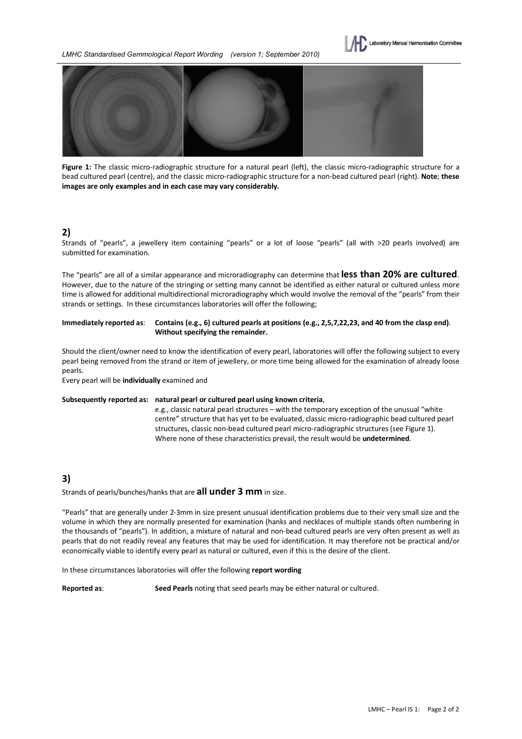



**Figure 1:** The classic micro-radiographic structure for a natural pearl (left), the classic micro-radiographic structure for a bead cultured pearl (centre), and the classic micro-radiographic structure for a non-bead cultured pearl (right). **Note**; **these images are only examples and in each case may vary considerably.**

## **2)**

Strands of "pearls", a jewellery item containing "pearls" or a lot of loose "pearls" (all with >20 pearls involved) are submitted for examination.

The "pearls" are all of a similar appearance and microradiography can determine that **less than 20% are cultured**. However, due to the nature of the stringing or setting many cannot be identified as either natural or cultured unless more time is allowed for additional multidirectional microradiography which would involve the removal of the "pearls" from their strands or settings. In these circumstances laboratories will offer the following;

### **Immediately reported as**: **Contains (e.g., 6) cultured pearls at positions (e.g., 2,5,7,22,23, and 40 from the clasp end)**. **Without specifying the remainder.**

Should the client/owner need to know the identification of every pearl, laboratories will offer the following subject to every pearl being removed from the strand or item of jewellery, or more time being allowed for the examination of already loose pearls.

Every pearl will be **individually** examined and

#### **Subsequently reported as: natural pearl or cultured pearl using known criteria**,

e.g., classic natural pearl structures – with the temporary exception of the unusual "white centre" structure that has yet to be evaluated, classic micro-radiographic bead cultured pearl structures, classic non-bead cultured pearl micro-radiographic structures (see Figure 1). Where none of these characteristics prevail, the result would be **undetermined**.

## **3)**

#### Strands of pearls/bunches/hanks that are **all under 3 mm** in size.

"Pearls" that are generally under 2-3mm in size present unusual identification problems due to their very small size and the volume in which they are normally presented for examination (hanks and necklaces of multiple stands often numbering in the thousands of "pearls"). In addition, a mixture of natural and non-bead cultured pearls are very often present as well as pearls that do not readily reveal any features that may be used for identification. It may therefore not be practical and/or economically viable to identify every pearl as natural or cultured, even if this is the desire of the client.

In these circumstances laboratories will offer the following **report wording**

**Reported as**: **Seed Pearls** noting that seed pearls may be either natural or cultured.